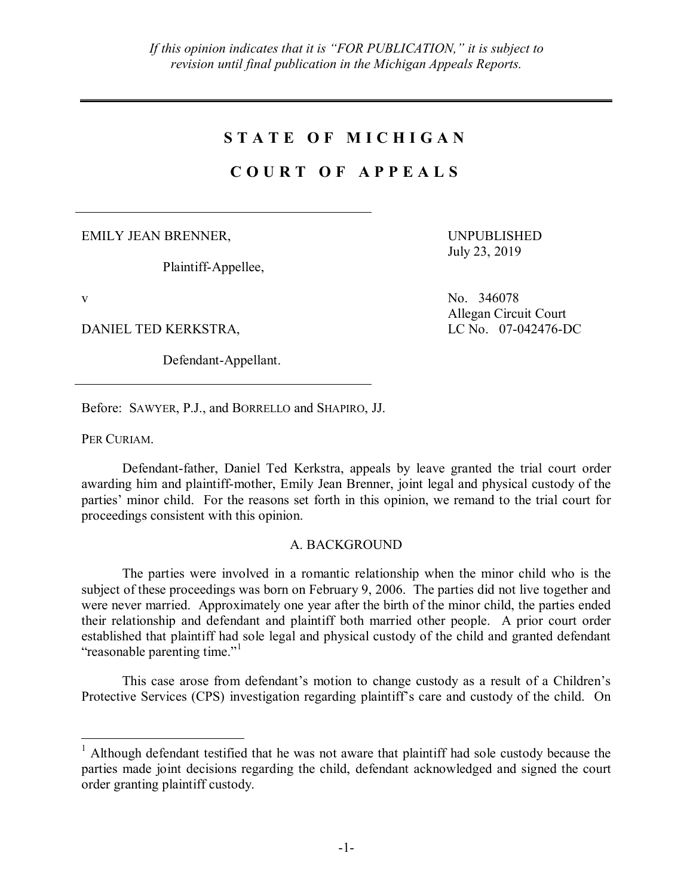## **S T A T E O F M I C H I G A N**

## **C O U R T O F A P P E A L S**

EMILY JEAN BRENNER,

Plaintiff-Appellee,

DANIEL TED KERKSTRA, LC No. 07-042476-DC

Defendant-Appellant.

UNPUBLISHED July 23, 2019

v No. 346078 Allegan Circuit Court

Before: SAWYER, P.J., and BORRELLO and SHAPIRO, JJ.

PER CURIAM.

Defendant-father, Daniel Ted Kerkstra, appeals by leave granted the trial court order awarding him and plaintiff-mother, Emily Jean Brenner, joint legal and physical custody of the parties' minor child. For the reasons set forth in this opinion, we remand to the trial court for proceedings consistent with this opinion.

## A. BACKGROUND

The parties were involved in a romantic relationship when the minor child who is the subject of these proceedings was born on February 9, 2006. The parties did not live together and were never married. Approximately one year after the birth of the minor child, the parties ended their relationship and defendant and plaintiff both married other people. A prior court order established that plaintiff had sole legal and physical custody of the child and granted defendant "reasonable parenting time."<sup>1</sup>

This case arose from defendant's motion to change custody as a result of a Children's Protective Services (CPS) investigation regarding plaintiff's care and custody of the child. On

 <sup>1</sup> Although defendant testified that he was not aware that plaintiff had sole custody because the parties made joint decisions regarding the child, defendant acknowledged and signed the court order granting plaintiff custody.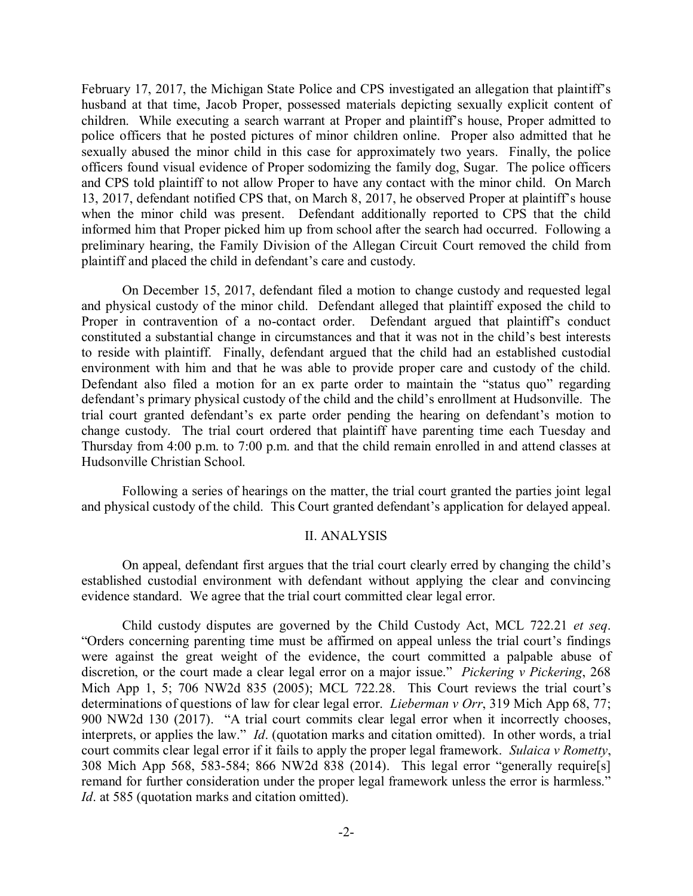February 17, 2017, the Michigan State Police and CPS investigated an allegation that plaintiff's husband at that time, Jacob Proper, possessed materials depicting sexually explicit content of children. While executing a search warrant at Proper and plaintiff's house, Proper admitted to police officers that he posted pictures of minor children online. Proper also admitted that he sexually abused the minor child in this case for approximately two years. Finally, the police officers found visual evidence of Proper sodomizing the family dog, Sugar. The police officers and CPS told plaintiff to not allow Proper to have any contact with the minor child. On March 13, 2017, defendant notified CPS that, on March 8, 2017, he observed Proper at plaintiff's house when the minor child was present. Defendant additionally reported to CPS that the child informed him that Proper picked him up from school after the search had occurred. Following a preliminary hearing, the Family Division of the Allegan Circuit Court removed the child from plaintiff and placed the child in defendant's care and custody.

On December 15, 2017, defendant filed a motion to change custody and requested legal and physical custody of the minor child. Defendant alleged that plaintiff exposed the child to Proper in contravention of a no-contact order. Defendant argued that plaintiff's conduct constituted a substantial change in circumstances and that it was not in the child's best interests to reside with plaintiff. Finally, defendant argued that the child had an established custodial environment with him and that he was able to provide proper care and custody of the child. Defendant also filed a motion for an ex parte order to maintain the "status quo" regarding defendant's primary physical custody of the child and the child's enrollment at Hudsonville. The trial court granted defendant's ex parte order pending the hearing on defendant's motion to change custody. The trial court ordered that plaintiff have parenting time each Tuesday and Thursday from 4:00 p.m. to 7:00 p.m. and that the child remain enrolled in and attend classes at Hudsonville Christian School.

Following a series of hearings on the matter, the trial court granted the parties joint legal and physical custody of the child. This Court granted defendant's application for delayed appeal.

## II. ANALYSIS

On appeal, defendant first argues that the trial court clearly erred by changing the child's established custodial environment with defendant without applying the clear and convincing evidence standard. We agree that the trial court committed clear legal error.

Child custody disputes are governed by the Child Custody Act, MCL 722.21 *et seq*. "Orders concerning parenting time must be affirmed on appeal unless the trial court's findings were against the great weight of the evidence, the court committed a palpable abuse of discretion, or the court made a clear legal error on a major issue." *Pickering v Pickering*, 268 Mich App 1, 5; 706 NW2d 835 (2005); MCL 722.28. This Court reviews the trial court's determinations of questions of law for clear legal error. *Lieberman v Orr*, 319 Mich App 68, 77; 900 NW2d 130 (2017). "A trial court commits clear legal error when it incorrectly chooses, interprets, or applies the law." *Id*. (quotation marks and citation omitted). In other words, a trial court commits clear legal error if it fails to apply the proper legal framework. *Sulaica v Rometty*, 308 Mich App 568, 583-584; 866 NW2d 838 (2014). This legal error "generally require[s] remand for further consideration under the proper legal framework unless the error is harmless." *Id*. at 585 (quotation marks and citation omitted).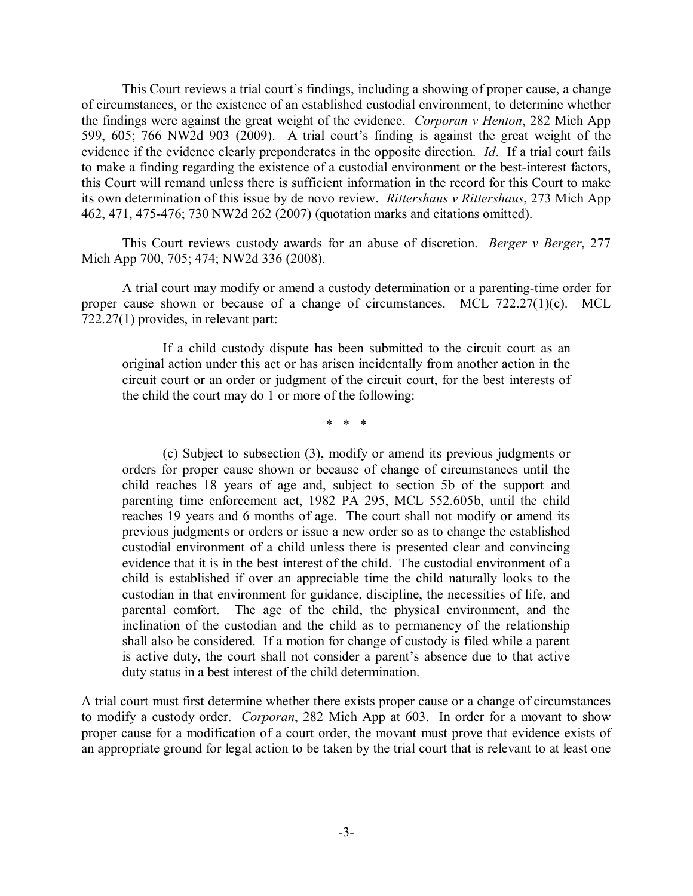This Court reviews a trial court's findings, including a showing of proper cause, a change of circumstances, or the existence of an established custodial environment, to determine whether the findings were against the great weight of the evidence. *Corporan v Henton*, 282 Mich App 599, 605; 766 NW2d 903 (2009). A trial court's finding is against the great weight of the evidence if the evidence clearly preponderates in the opposite direction. *Id*. If a trial court fails to make a finding regarding the existence of a custodial environment or the best-interest factors, this Court will remand unless there is sufficient information in the record for this Court to make its own determination of this issue by de novo review. *Rittershaus v Rittershaus*, 273 Mich App 462, 471, 475-476; 730 NW2d 262 (2007) (quotation marks and citations omitted).

This Court reviews custody awards for an abuse of discretion. *Berger v Berger*, 277 Mich App 700, 705; 474; NW2d 336 (2008).

A trial court may modify or amend a custody determination or a parenting-time order for proper cause shown or because of a change of circumstances. MCL 722.27(1)(c). MCL 722.27(1) provides, in relevant part:

If a child custody dispute has been submitted to the circuit court as an original action under this act or has arisen incidentally from another action in the circuit court or an order or judgment of the circuit court, for the best interests of the child the court may do 1 or more of the following:

\* \* \*

(c) Subject to subsection (3), modify or amend its previous judgments or orders for proper cause shown or because of change of circumstances until the child reaches 18 years of age and, subject to section 5b of the support and parenting time enforcement act, 1982 PA 295, MCL 552.605b, until the child reaches 19 years and 6 months of age. The court shall not modify or amend its previous judgments or orders or issue a new order so as to change the established custodial environment of a child unless there is presented clear and convincing evidence that it is in the best interest of the child. The custodial environment of a child is established if over an appreciable time the child naturally looks to the custodian in that environment for guidance, discipline, the necessities of life, and parental comfort. The age of the child, the physical environment, and the inclination of the custodian and the child as to permanency of the relationship shall also be considered. If a motion for change of custody is filed while a parent is active duty, the court shall not consider a parent's absence due to that active duty status in a best interest of the child determination.

A trial court must first determine whether there exists proper cause or a change of circumstances to modify a custody order. *Corporan*, 282 Mich App at 603. In order for a movant to show proper cause for a modification of a court order, the movant must prove that evidence exists of an appropriate ground for legal action to be taken by the trial court that is relevant to at least one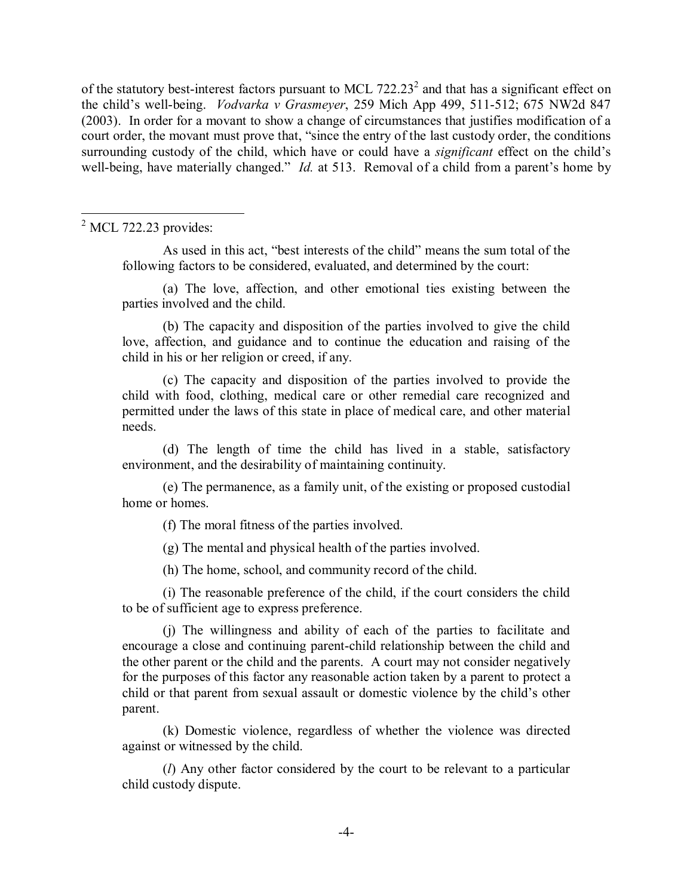of the statutory best-interest factors pursuant to MCL  $722.23<sup>2</sup>$  and that has a significant effect on the child's well-being. *Vodvarka v Grasmeyer*, 259 Mich App 499, 511-512; 675 NW2d 847 (2003). In order for a movant to show a change of circumstances that justifies modification of a court order, the movant must prove that, "since the entry of the last custody order, the conditions surrounding custody of the child, which have or could have a *significant* effect on the child's well-being, have materially changed." *Id.* at 513. Removal of a child from a parent's home by

 $<sup>2</sup>$  MCL 722.23 provides:</sup>

As used in this act, "best interests of the child" means the sum total of the following factors to be considered, evaluated, and determined by the court:

(a) The love, affection, and other emotional ties existing between the parties involved and the child.

(b) The capacity and disposition of the parties involved to give the child love, affection, and guidance and to continue the education and raising of the child in his or her religion or creed, if any.

(c) The capacity and disposition of the parties involved to provide the child with food, clothing, medical care or other remedial care recognized and permitted under the laws of this state in place of medical care, and other material needs.

(d) The length of time the child has lived in a stable, satisfactory environment, and the desirability of maintaining continuity.

(e) The permanence, as a family unit, of the existing or proposed custodial home or homes.

(f) The moral fitness of the parties involved.

(g) The mental and physical health of the parties involved.

(h) The home, school, and community record of the child.

(i) The reasonable preference of the child, if the court considers the child to be of sufficient age to express preference.

(j) The willingness and ability of each of the parties to facilitate and encourage a close and continuing parent-child relationship between the child and the other parent or the child and the parents. A court may not consider negatively for the purposes of this factor any reasonable action taken by a parent to protect a child or that parent from sexual assault or domestic violence by the child's other parent.

(k) Domestic violence, regardless of whether the violence was directed against or witnessed by the child.

(*l*) Any other factor considered by the court to be relevant to a particular child custody dispute.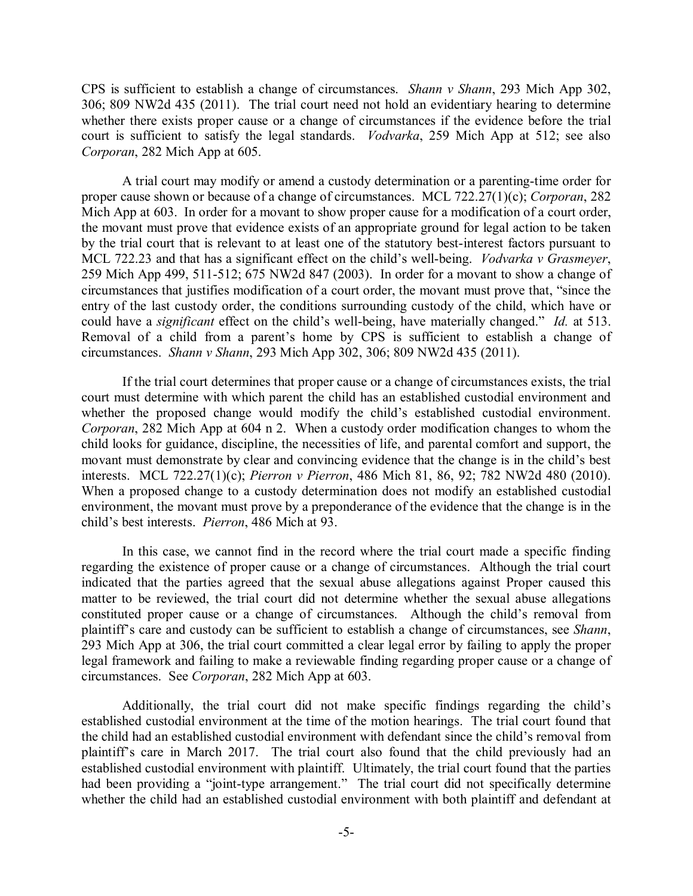CPS is sufficient to establish a change of circumstances. *Shann v Shann*, 293 Mich App 302, 306; 809 NW2d 435 (2011). The trial court need not hold an evidentiary hearing to determine whether there exists proper cause or a change of circumstances if the evidence before the trial court is sufficient to satisfy the legal standards. *Vodvarka*, 259 Mich App at 512; see also *Corporan*, 282 Mich App at 605.

A trial court may modify or amend a custody determination or a parenting-time order for proper cause shown or because of a change of circumstances. MCL 722.27(1)(c); *Corporan*, 282 Mich App at 603. In order for a movant to show proper cause for a modification of a court order, the movant must prove that evidence exists of an appropriate ground for legal action to be taken by the trial court that is relevant to at least one of the statutory best-interest factors pursuant to MCL 722.23 and that has a significant effect on the child's well-being. *Vodvarka v Grasmeyer*, 259 Mich App 499, 511-512; 675 NW2d 847 (2003). In order for a movant to show a change of circumstances that justifies modification of a court order, the movant must prove that, "since the entry of the last custody order, the conditions surrounding custody of the child, which have or could have a *significant* effect on the child's well-being, have materially changed." *Id.* at 513. Removal of a child from a parent's home by CPS is sufficient to establish a change of circumstances. *Shann v Shann*, 293 Mich App 302, 306; 809 NW2d 435 (2011).

If the trial court determines that proper cause or a change of circumstances exists, the trial court must determine with which parent the child has an established custodial environment and whether the proposed change would modify the child's established custodial environment. *Corporan*, 282 Mich App at 604 n 2. When a custody order modification changes to whom the child looks for guidance, discipline, the necessities of life, and parental comfort and support, the movant must demonstrate by clear and convincing evidence that the change is in the child's best interests. MCL 722.27(1)(c); *Pierron v Pierron*, 486 Mich 81, 86, 92; 782 NW2d 480 (2010). When a proposed change to a custody determination does not modify an established custodial environment, the movant must prove by a preponderance of the evidence that the change is in the child's best interests. *Pierron*, 486 Mich at 93.

In this case, we cannot find in the record where the trial court made a specific finding regarding the existence of proper cause or a change of circumstances. Although the trial court indicated that the parties agreed that the sexual abuse allegations against Proper caused this matter to be reviewed, the trial court did not determine whether the sexual abuse allegations constituted proper cause or a change of circumstances. Although the child's removal from plaintiff's care and custody can be sufficient to establish a change of circumstances, see *Shann*, 293 Mich App at 306, the trial court committed a clear legal error by failing to apply the proper legal framework and failing to make a reviewable finding regarding proper cause or a change of circumstances. See *Corporan*, 282 Mich App at 603.

Additionally, the trial court did not make specific findings regarding the child's established custodial environment at the time of the motion hearings. The trial court found that the child had an established custodial environment with defendant since the child's removal from plaintiff's care in March 2017. The trial court also found that the child previously had an established custodial environment with plaintiff. Ultimately, the trial court found that the parties had been providing a "joint-type arrangement." The trial court did not specifically determine whether the child had an established custodial environment with both plaintiff and defendant at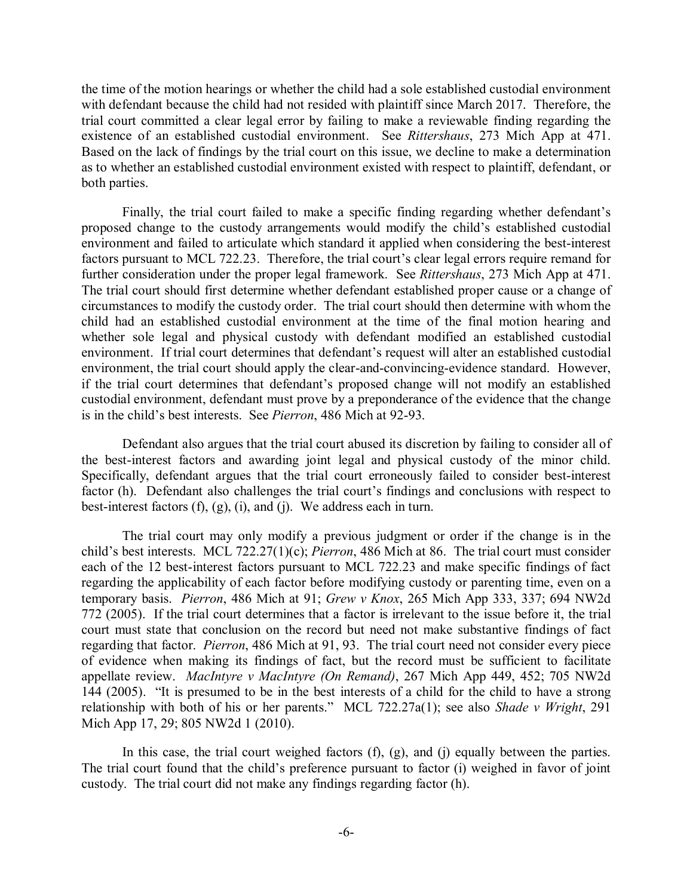the time of the motion hearings or whether the child had a sole established custodial environment with defendant because the child had not resided with plaintiff since March 2017. Therefore, the trial court committed a clear legal error by failing to make a reviewable finding regarding the existence of an established custodial environment. See *Rittershaus*, 273 Mich App at 471. Based on the lack of findings by the trial court on this issue, we decline to make a determination as to whether an established custodial environment existed with respect to plaintiff, defendant, or both parties.

Finally, the trial court failed to make a specific finding regarding whether defendant's proposed change to the custody arrangements would modify the child's established custodial environment and failed to articulate which standard it applied when considering the best-interest factors pursuant to MCL 722.23. Therefore, the trial court's clear legal errors require remand for further consideration under the proper legal framework. See *Rittershaus*, 273 Mich App at 471. The trial court should first determine whether defendant established proper cause or a change of circumstances to modify the custody order. The trial court should then determine with whom the child had an established custodial environment at the time of the final motion hearing and whether sole legal and physical custody with defendant modified an established custodial environment. If trial court determines that defendant's request will alter an established custodial environment, the trial court should apply the clear-and-convincing-evidence standard. However, if the trial court determines that defendant's proposed change will not modify an established custodial environment, defendant must prove by a preponderance of the evidence that the change is in the child's best interests. See *Pierron*, 486 Mich at 92-93.

Defendant also argues that the trial court abused its discretion by failing to consider all of the best-interest factors and awarding joint legal and physical custody of the minor child. Specifically, defendant argues that the trial court erroneously failed to consider best-interest factor (h). Defendant also challenges the trial court's findings and conclusions with respect to best-interest factors (f), (g), (i), and (j). We address each in turn.

The trial court may only modify a previous judgment or order if the change is in the child's best interests. MCL 722.27(1)(c); *Pierron*, 486 Mich at 86. The trial court must consider each of the 12 best-interest factors pursuant to MCL 722.23 and make specific findings of fact regarding the applicability of each factor before modifying custody or parenting time, even on a temporary basis. *Pierron*, 486 Mich at 91; *Grew v Knox*, 265 Mich App 333, 337; 694 NW2d 772 (2005). If the trial court determines that a factor is irrelevant to the issue before it, the trial court must state that conclusion on the record but need not make substantive findings of fact regarding that factor. *Pierron*, 486 Mich at 91, 93. The trial court need not consider every piece of evidence when making its findings of fact, but the record must be sufficient to facilitate appellate review. *MacIntyre v MacIntyre (On Remand)*, 267 Mich App 449, 452; 705 NW2d 144 (2005). "It is presumed to be in the best interests of a child for the child to have a strong relationship with both of his or her parents." MCL 722.27a(1); see also *Shade v Wright*, 291 Mich App 17, 29; 805 NW2d 1 (2010).

In this case, the trial court weighed factors (f), (g), and (j) equally between the parties. The trial court found that the child's preference pursuant to factor (i) weighed in favor of joint custody. The trial court did not make any findings regarding factor (h).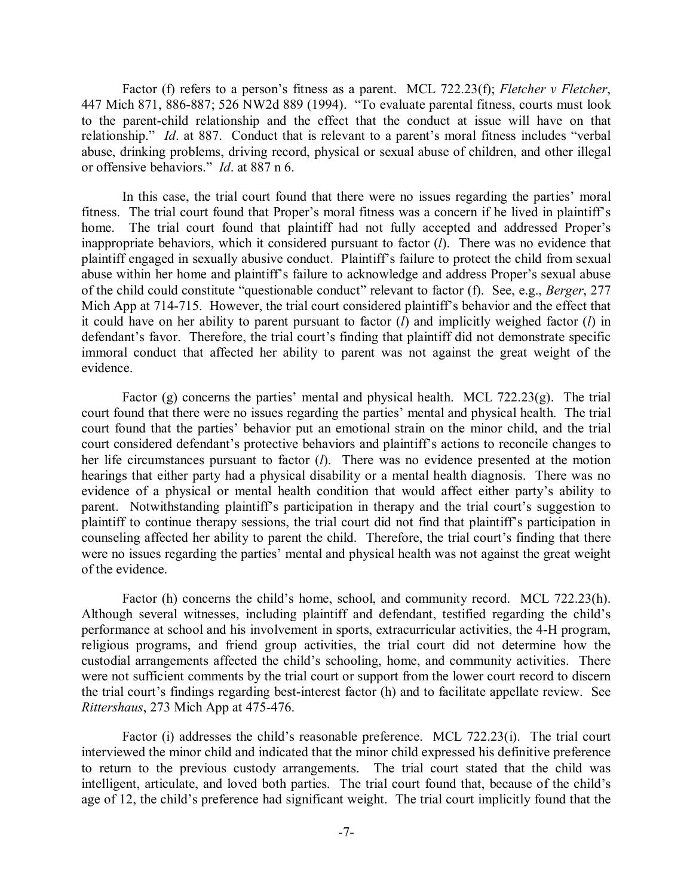Factor (f) refers to a person's fitness as a parent. MCL 722.23(f); *Fletcher v Fletcher*, 447 Mich 871, 886-887; 526 NW2d 889 (1994). "To evaluate parental fitness, courts must look to the parent-child relationship and the effect that the conduct at issue will have on that relationship." *Id*. at 887. Conduct that is relevant to a parent's moral fitness includes "verbal abuse, drinking problems, driving record, physical or sexual abuse of children, and other illegal or offensive behaviors." *Id*. at 887 n 6.

In this case, the trial court found that there were no issues regarding the parties' moral fitness. The trial court found that Proper's moral fitness was a concern if he lived in plaintiff's home. The trial court found that plaintiff had not fully accepted and addressed Proper's inappropriate behaviors, which it considered pursuant to factor (*l*). There was no evidence that plaintiff engaged in sexually abusive conduct. Plaintiff's failure to protect the child from sexual abuse within her home and plaintiff's failure to acknowledge and address Proper's sexual abuse of the child could constitute "questionable conduct" relevant to factor (f). See, e.g., *Berger*, 277 Mich App at 714-715. However, the trial court considered plaintiff's behavior and the effect that it could have on her ability to parent pursuant to factor (*l*) and implicitly weighed factor (*l*) in defendant's favor. Therefore, the trial court's finding that plaintiff did not demonstrate specific immoral conduct that affected her ability to parent was not against the great weight of the evidence.

Factor  $(g)$  concerns the parties' mental and physical health. MCL 722.23 $(g)$ . The trial court found that there were no issues regarding the parties' mental and physical health. The trial court found that the parties' behavior put an emotional strain on the minor child, and the trial court considered defendant's protective behaviors and plaintiff's actions to reconcile changes to her life circumstances pursuant to factor (*l*). There was no evidence presented at the motion hearings that either party had a physical disability or a mental health diagnosis. There was no evidence of a physical or mental health condition that would affect either party's ability to parent. Notwithstanding plaintiff's participation in therapy and the trial court's suggestion to plaintiff to continue therapy sessions, the trial court did not find that plaintiff's participation in counseling affected her ability to parent the child. Therefore, the trial court's finding that there were no issues regarding the parties' mental and physical health was not against the great weight of the evidence.

Factor (h) concerns the child's home, school, and community record. MCL 722.23(h). Although several witnesses, including plaintiff and defendant, testified regarding the child's performance at school and his involvement in sports, extracurricular activities, the 4-H program, religious programs, and friend group activities, the trial court did not determine how the custodial arrangements affected the child's schooling, home, and community activities. There were not sufficient comments by the trial court or support from the lower court record to discern the trial court's findings regarding best-interest factor (h) and to facilitate appellate review. See *Rittershaus*, 273 Mich App at 475-476.

Factor (i) addresses the child's reasonable preference. MCL 722.23(i). The trial court interviewed the minor child and indicated that the minor child expressed his definitive preference to return to the previous custody arrangements. The trial court stated that the child was intelligent, articulate, and loved both parties. The trial court found that, because of the child's age of 12, the child's preference had significant weight. The trial court implicitly found that the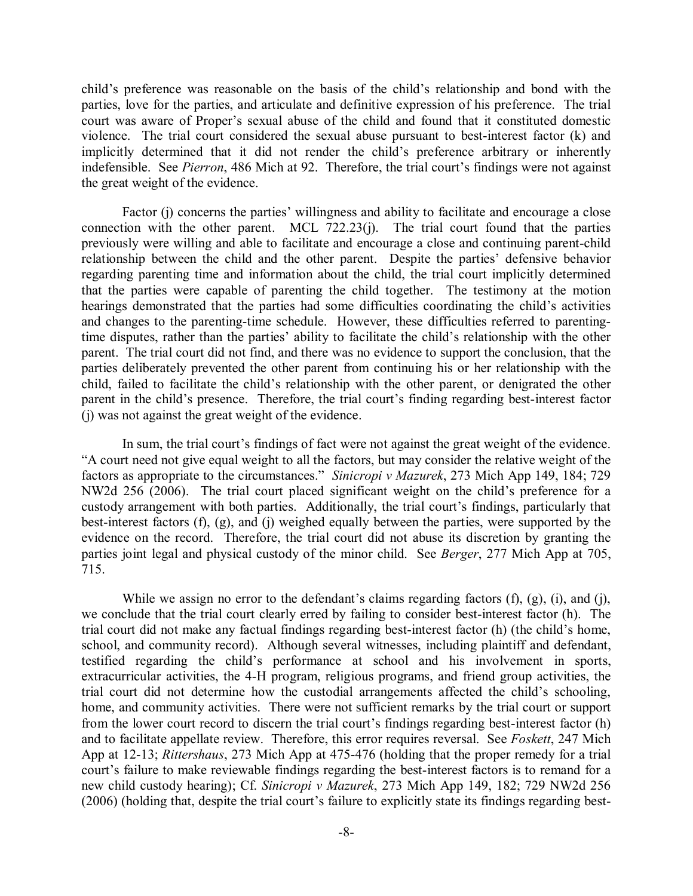child's preference was reasonable on the basis of the child's relationship and bond with the parties, love for the parties, and articulate and definitive expression of his preference. The trial court was aware of Proper's sexual abuse of the child and found that it constituted domestic violence. The trial court considered the sexual abuse pursuant to best-interest factor (k) and implicitly determined that it did not render the child's preference arbitrary or inherently indefensible. See *Pierron*, 486 Mich at 92. Therefore, the trial court's findings were not against the great weight of the evidence.

Factor (j) concerns the parties' willingness and ability to facilitate and encourage a close connection with the other parent. MCL  $722.23(i)$ . The trial court found that the parties previously were willing and able to facilitate and encourage a close and continuing parent-child relationship between the child and the other parent. Despite the parties' defensive behavior regarding parenting time and information about the child, the trial court implicitly determined that the parties were capable of parenting the child together. The testimony at the motion hearings demonstrated that the parties had some difficulties coordinating the child's activities and changes to the parenting-time schedule. However, these difficulties referred to parentingtime disputes, rather than the parties' ability to facilitate the child's relationship with the other parent. The trial court did not find, and there was no evidence to support the conclusion, that the parties deliberately prevented the other parent from continuing his or her relationship with the child, failed to facilitate the child's relationship with the other parent, or denigrated the other parent in the child's presence. Therefore, the trial court's finding regarding best-interest factor (j) was not against the great weight of the evidence.

In sum, the trial court's findings of fact were not against the great weight of the evidence. "A court need not give equal weight to all the factors, but may consider the relative weight of the factors as appropriate to the circumstances." *Sinicropi v Mazurek*, 273 Mich App 149, 184; 729 NW2d 256 (2006). The trial court placed significant weight on the child's preference for a custody arrangement with both parties. Additionally, the trial court's findings, particularly that best-interest factors (f), (g), and (j) weighed equally between the parties, were supported by the evidence on the record. Therefore, the trial court did not abuse its discretion by granting the parties joint legal and physical custody of the minor child. See *Berger*, 277 Mich App at 705, 715.

While we assign no error to the defendant's claims regarding factors  $(f)$ ,  $(g)$ ,  $(i)$ , and  $(i)$ , we conclude that the trial court clearly erred by failing to consider best-interest factor (h). The trial court did not make any factual findings regarding best-interest factor (h) (the child's home, school, and community record). Although several witnesses, including plaintiff and defendant, testified regarding the child's performance at school and his involvement in sports, extracurricular activities, the 4-H program, religious programs, and friend group activities, the trial court did not determine how the custodial arrangements affected the child's schooling, home, and community activities. There were not sufficient remarks by the trial court or support from the lower court record to discern the trial court's findings regarding best-interest factor (h) and to facilitate appellate review. Therefore, this error requires reversal. See *Foskett*, 247 Mich App at 12-13; *Rittershaus*, 273 Mich App at 475-476 (holding that the proper remedy for a trial court's failure to make reviewable findings regarding the best-interest factors is to remand for a new child custody hearing); Cf. *Sinicropi v Mazurek*, 273 Mich App 149, 182; 729 NW2d 256 (2006) (holding that, despite the trial court's failure to explicitly state its findings regarding best